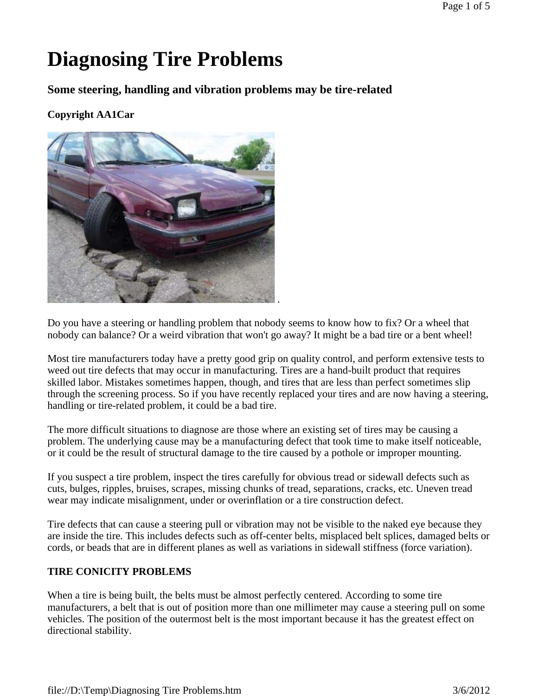# **Diagnosing Tire Problems**

**Some steering, handling and vibration problems may be tire-related** 

## **Copyright AA1Car**



Do you have a steering or handling problem that nobody seems to know how to fix? Or a wheel that nobody can balance? Or a weird vibration that won't go away? It might be a bad tire or a bent wheel!

Most tire manufacturers today have a pretty good grip on quality control, and perform extensive tests to weed out tire defects that may occur in manufacturing. Tires are a hand-built product that requires skilled labor. Mistakes sometimes happen, though, and tires that are less than perfect sometimes slip through the screening process. So if you have recently replaced your tires and are now having a steering, handling or tire-related problem, it could be a bad tire.

The more difficult situations to diagnose are those where an existing set of tires may be causing a problem. The underlying cause may be a manufacturing defect that took time to make itself noticeable, or it could be the result of structural damage to the tire caused by a pothole or improper mounting.

If you suspect a tire problem, inspect the tires carefully for obvious tread or sidewall defects such as cuts, bulges, ripples, bruises, scrapes, missing chunks of tread, separations, cracks, etc. Uneven tread wear may indicate misalignment, under or overinflation or a tire construction defect.

Tire defects that can cause a steering pull or vibration may not be visible to the naked eye because they are inside the tire. This includes defects such as off-center belts, misplaced belt splices, damaged belts or cords, or beads that are in different planes as well as variations in sidewall stiffness (force variation).

## **TIRE CONICITY PROBLEMS**

When a tire is being built, the belts must be almost perfectly centered. According to some tire manufacturers, a belt that is out of position more than one millimeter may cause a steering pull on some vehicles. The position of the outermost belt is the most important because it has the greatest effect on directional stability.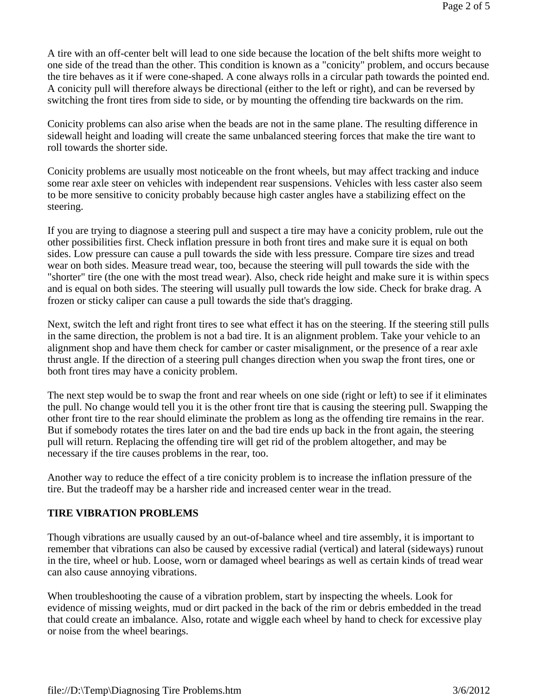A tire with an off-center belt will lead to one side because the location of the belt shifts more weight to one side of the tread than the other. This condition is known as a "conicity" problem, and occurs because the tire behaves as it if were cone-shaped. A cone always rolls in a circular path towards the pointed end. A conicity pull will therefore always be directional (either to the left or right), and can be reversed by switching the front tires from side to side, or by mounting the offending tire backwards on the rim.

Conicity problems can also arise when the beads are not in the same plane. The resulting difference in sidewall height and loading will create the same unbalanced steering forces that make the tire want to roll towards the shorter side.

Conicity problems are usually most noticeable on the front wheels, but may affect tracking and induce some rear axle steer on vehicles with independent rear suspensions. Vehicles with less caster also seem to be more sensitive to conicity probably because high caster angles have a stabilizing effect on the steering.

If you are trying to diagnose a steering pull and suspect a tire may have a conicity problem, rule out the other possibilities first. Check inflation pressure in both front tires and make sure it is equal on both sides. Low pressure can cause a pull towards the side with less pressure. Compare tire sizes and tread wear on both sides. Measure tread wear, too, because the steering will pull towards the side with the "shorter" tire (the one with the most tread wear). Also, check ride height and make sure it is within specs and is equal on both sides. The steering will usually pull towards the low side. Check for brake drag. A frozen or sticky caliper can cause a pull towards the side that's dragging.

Next, switch the left and right front tires to see what effect it has on the steering. If the steering still pulls in the same direction, the problem is not a bad tire. It is an alignment problem. Take your vehicle to an alignment shop and have them check for camber or caster misalignment, or the presence of a rear axle thrust angle. If the direction of a steering pull changes direction when you swap the front tires, one or both front tires may have a conicity problem.

The next step would be to swap the front and rear wheels on one side (right or left) to see if it eliminates the pull. No change would tell you it is the other front tire that is causing the steering pull. Swapping the other front tire to the rear should eliminate the problem as long as the offending tire remains in the rear. But if somebody rotates the tires later on and the bad tire ends up back in the front again, the steering pull will return. Replacing the offending tire will get rid of the problem altogether, and may be necessary if the tire causes problems in the rear, too.

Another way to reduce the effect of a tire conicity problem is to increase the inflation pressure of the tire. But the tradeoff may be a harsher ride and increased center wear in the tread.

#### **TIRE VIBRATION PROBLEMS**

Though vibrations are usually caused by an out-of-balance wheel and tire assembly, it is important to remember that vibrations can also be caused by excessive radial (vertical) and lateral (sideways) runout in the tire, wheel or hub. Loose, worn or damaged wheel bearings as well as certain kinds of tread wear can also cause annoying vibrations.

When troubleshooting the cause of a vibration problem, start by inspecting the wheels. Look for evidence of missing weights, mud or dirt packed in the back of the rim or debris embedded in the tread that could create an imbalance. Also, rotate and wiggle each wheel by hand to check for excessive play or noise from the wheel bearings.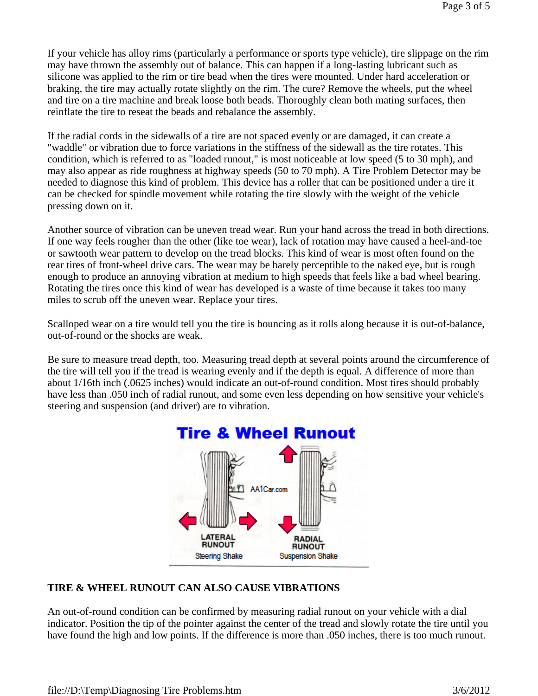If your vehicle has alloy rims (particularly a performance or sports type vehicle), tire slippage on the rim may have thrown the assembly out of balance. This can happen if a long-lasting lubricant such as silicone was applied to the rim or tire bead when the tires were mounted. Under hard acceleration or braking, the tire may actually rotate slightly on the rim. The cure? Remove the wheels, put the wheel and tire on a tire machine and break loose both beads. Thoroughly clean both mating surfaces, then reinflate the tire to reseat the beads and rebalance the assembly.

If the radial cords in the sidewalls of a tire are not spaced evenly or are damaged, it can create a "waddle" or vibration due to force variations in the stiffness of the sidewall as the tire rotates. This condition, which is referred to as "loaded runout," is most noticeable at low speed (5 to 30 mph), and may also appear as ride roughness at highway speeds (50 to 70 mph). A Tire Problem Detector may be needed to diagnose this kind of problem. This device has a roller that can be positioned under a tire it can be checked for spindle movement while rotating the tire slowly with the weight of the vehicle pressing down on it.

Another source of vibration can be uneven tread wear. Run your hand across the tread in both directions. If one way feels rougher than the other (like toe wear), lack of rotation may have caused a heel-and-toe or sawtooth wear pattern to develop on the tread blocks. This kind of wear is most often found on the rear tires of front-wheel drive cars. The wear may be barely perceptible to the naked eye, but is rough enough to produce an annoying vibration at medium to high speeds that feels like a bad wheel bearing. Rotating the tires once this kind of wear has developed is a waste of time because it takes too many miles to scrub off the uneven wear. Replace your tires.

Scalloped wear on a tire would tell you the tire is bouncing as it rolls along because it is out-of-balance, out-of-round or the shocks are weak.

Be sure to measure tread depth, too. Measuring tread depth at several points around the circumference of the tire will tell you if the tread is wearing evenly and if the depth is equal. A difference of more than about 1/16th inch (.0625 inches) would indicate an out-of-round condition. Most tires should probably have less than .050 inch of radial runout, and some even less depending on how sensitive your vehicle's steering and suspension (and driver) are to vibration.



### **TIRE & WHEEL RUNOUT CAN ALSO CAUSE VIBRATIONS**

An out-of-round condition can be confirmed by measuring radial runout on your vehicle with a dial indicator. Position the tip of the pointer against the center of the tread and slowly rotate the tire until you have found the high and low points. If the difference is more than .050 inches, there is too much runout.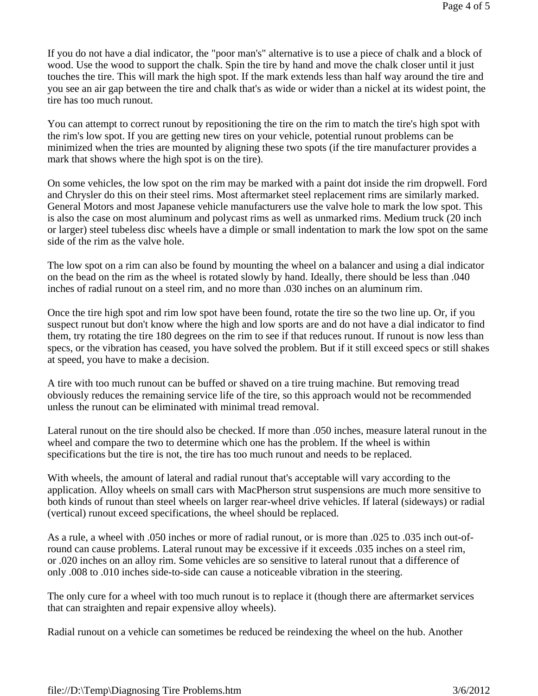If you do not have a dial indicator, the "poor man's" alternative is to use a piece of chalk and a block of wood. Use the wood to support the chalk. Spin the tire by hand and move the chalk closer until it just touches the tire. This will mark the high spot. If the mark extends less than half way around the tire and you see an air gap between the tire and chalk that's as wide or wider than a nickel at its widest point, the tire has too much runout.

You can attempt to correct runout by repositioning the tire on the rim to match the tire's high spot with the rim's low spot. If you are getting new tires on your vehicle, potential runout problems can be minimized when the tries are mounted by aligning these two spots (if the tire manufacturer provides a mark that shows where the high spot is on the tire).

On some vehicles, the low spot on the rim may be marked with a paint dot inside the rim dropwell. Ford and Chrysler do this on their steel rims. Most aftermarket steel replacement rims are similarly marked. General Motors and most Japanese vehicle manufacturers use the valve hole to mark the low spot. This is also the case on most aluminum and polycast rims as well as unmarked rims. Medium truck (20 inch or larger) steel tubeless disc wheels have a dimple or small indentation to mark the low spot on the same side of the rim as the valve hole.

The low spot on a rim can also be found by mounting the wheel on a balancer and using a dial indicator on the bead on the rim as the wheel is rotated slowly by hand. Ideally, there should be less than .040 inches of radial runout on a steel rim, and no more than .030 inches on an aluminum rim.

Once the tire high spot and rim low spot have been found, rotate the tire so the two line up. Or, if you suspect runout but don't know where the high and low sports are and do not have a dial indicator to find them, try rotating the tire 180 degrees on the rim to see if that reduces runout. If runout is now less than specs, or the vibration has ceased, you have solved the problem. But if it still exceed specs or still shakes at speed, you have to make a decision.

A tire with too much runout can be buffed or shaved on a tire truing machine. But removing tread obviously reduces the remaining service life of the tire, so this approach would not be recommended unless the runout can be eliminated with minimal tread removal.

Lateral runout on the tire should also be checked. If more than .050 inches, measure lateral runout in the wheel and compare the two to determine which one has the problem. If the wheel is within specifications but the tire is not, the tire has too much runout and needs to be replaced.

With wheels, the amount of lateral and radial runout that's acceptable will vary according to the application. Alloy wheels on small cars with MacPherson strut suspensions are much more sensitive to both kinds of runout than steel wheels on larger rear-wheel drive vehicles. If lateral (sideways) or radial (vertical) runout exceed specifications, the wheel should be replaced.

As a rule, a wheel with .050 inches or more of radial runout, or is more than .025 to .035 inch out-ofround can cause problems. Lateral runout may be excessive if it exceeds .035 inches on a steel rim, or .020 inches on an alloy rim. Some vehicles are so sensitive to lateral runout that a difference of only .008 to .010 inches side-to-side can cause a noticeable vibration in the steering.

The only cure for a wheel with too much runout is to replace it (though there are aftermarket services that can straighten and repair expensive alloy wheels).

Radial runout on a vehicle can sometimes be reduced be reindexing the wheel on the hub. Another